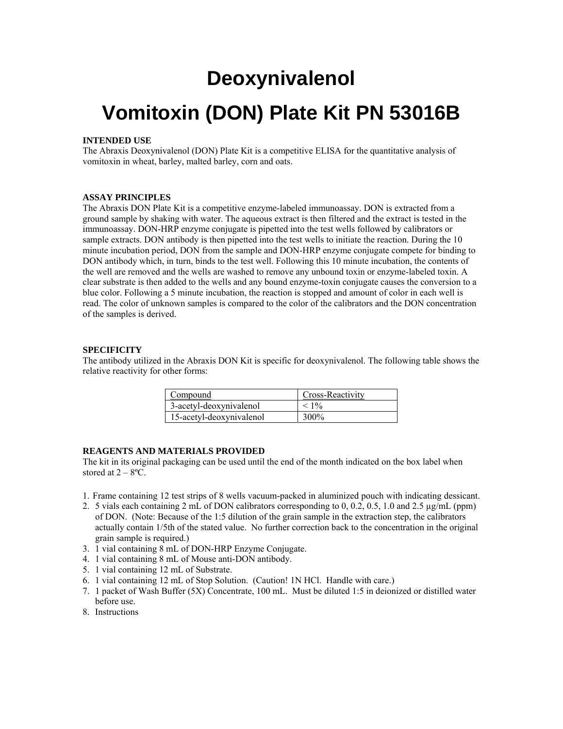## **Deoxynivalenol**

# **Vomitoxin (DON) Plate Kit PN 53016B**

#### **INTENDED USE**

The Abraxis Deoxynivalenol (DON) Plate Kit is a competitive ELISA for the quantitative analysis of vomitoxin in wheat, barley, malted barley, corn and oats.

#### **ASSAY PRINCIPLES**

The Abraxis DON Plate Kit is a competitive enzyme-labeled immunoassay. DON is extracted from a ground sample by shaking with water. The aqueous extract is then filtered and the extract is tested in the immunoassay. DON-HRP enzyme conjugate is pipetted into the test wells followed by calibrators or sample extracts. DON antibody is then pipetted into the test wells to initiate the reaction. During the 10 minute incubation period, DON from the sample and DON-HRP enzyme conjugate compete for binding to DON antibody which, in turn, binds to the test well. Following this 10 minute incubation, the contents of the well are removed and the wells are washed to remove any unbound toxin or enzyme-labeled toxin. A clear substrate is then added to the wells and any bound enzyme-toxin conjugate causes the conversion to a blue color. Following a 5 minute incubation, the reaction is stopped and amount of color in each well is read. The color of unknown samples is compared to the color of the calibrators and the DON concentration of the samples is derived.

#### **SPECIFICITY**

The antibody utilized in the Abraxis DON Kit is specific for deoxynivalenol. The following table shows the relative reactivity for other forms:

| Compound                 | Cross-Reactivity |
|--------------------------|------------------|
| 3-acetyl-deoxynivalenol  | $< 1\%$          |
| 15-acetyl-deoxynivalenol | 300%             |

#### **REAGENTS AND MATERIALS PROVIDED**

The kit in its original packaging can be used until the end of the month indicated on the box label when stored at  $2 - 8$ <sup>o</sup>C.

- 1. Frame containing 12 test strips of 8 wells vacuum-packed in aluminized pouch with indicating dessicant.
- 2. 5 vials each containing 2 mL of DON calibrators corresponding to 0, 0.2, 0.5, 1.0 and 2.5 µg/mL (ppm) of DON. (Note: Because of the 1:5 dilution of the grain sample in the extraction step, the calibrators actually contain 1/5th of the stated value. No further correction back to the concentration in the original grain sample is required.)
- 3. 1 vial containing 8 mL of DON-HRP Enzyme Conjugate.
- 4. 1 vial containing 8 mL of Mouse anti-DON antibody.
- 5. 1 vial containing 12 mL of Substrate.
- 6. 1 vial containing 12 mL of Stop Solution. (Caution! 1N HCl. Handle with care.)
- 7. 1 packet of Wash Buffer (5X) Concentrate, 100 mL. Must be diluted 1:5 in deionized or distilled water before use.
- 8. Instructions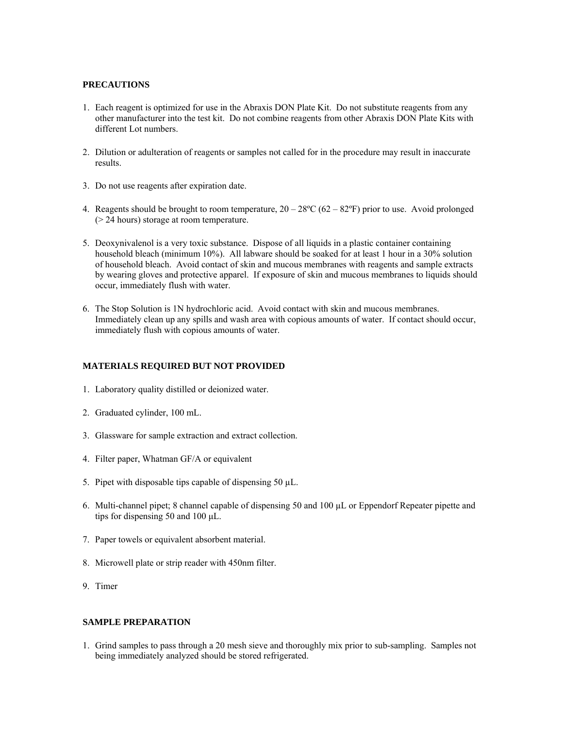#### **PRECAUTIONS**

- 1. Each reagent is optimized for use in the Abraxis DON Plate Kit. Do not substitute reagents from any other manufacturer into the test kit. Do not combine reagents from other Abraxis DON Plate Kits with different Lot numbers.
- 2. Dilution or adulteration of reagents or samples not called for in the procedure may result in inaccurate results.
- 3. Do not use reagents after expiration date.
- 4. Reagents should be brought to room temperature,  $20 28\degree C$  (62 82°F) prior to use. Avoid prolonged (> 24 hours) storage at room temperature.
- 5. Deoxynivalenol is a very toxic substance. Dispose of all liquids in a plastic container containing household bleach (minimum 10%). All labware should be soaked for at least 1 hour in a 30% solution of household bleach. Avoid contact of skin and mucous membranes with reagents and sample extracts by wearing gloves and protective apparel. If exposure of skin and mucous membranes to liquids should occur, immediately flush with water.
- 6. The Stop Solution is 1N hydrochloric acid. Avoid contact with skin and mucous membranes. Immediately clean up any spills and wash area with copious amounts of water. If contact should occur, immediately flush with copious amounts of water.

#### **MATERIALS REQUIRED BUT NOT PROVIDED**

- 1. Laboratory quality distilled or deionized water.
- 2. Graduated cylinder, 100 mL.
- 3. Glassware for sample extraction and extract collection.
- 4. Filter paper, Whatman GF/A or equivalent
- 5. Pipet with disposable tips capable of dispensing 50  $\mu$ L.
- 6. Multi-channel pipet; 8 channel capable of dispensing 50 and 100 µL or Eppendorf Repeater pipette and tips for dispensing 50 and 100 μL.
- 7. Paper towels or equivalent absorbent material.
- 8. Microwell plate or strip reader with 450nm filter.
- 9. Timer

#### **SAMPLE PREPARATION**

1. Grind samples to pass through a 20 mesh sieve and thoroughly mix prior to sub-sampling. Samples not being immediately analyzed should be stored refrigerated.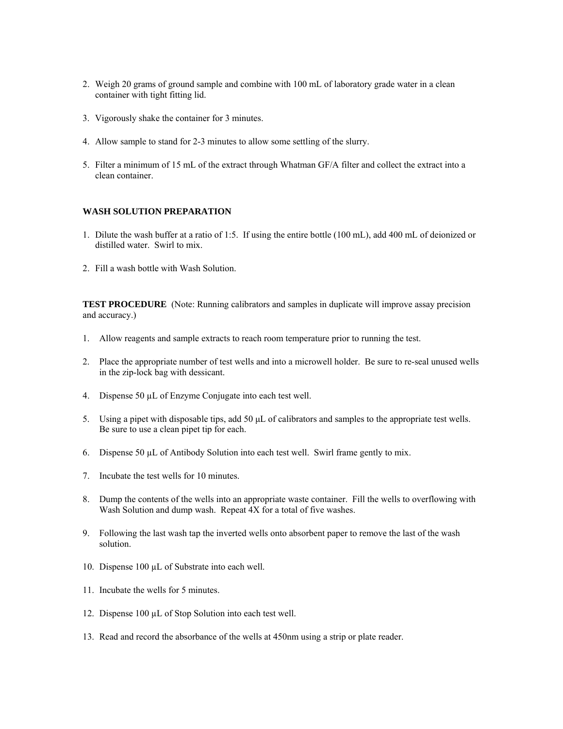- 2. Weigh 20 grams of ground sample and combine with 100 mL of laboratory grade water in a clean container with tight fitting lid.
- 3. Vigorously shake the container for 3 minutes.
- 4. Allow sample to stand for 2-3 minutes to allow some settling of the slurry.
- 5. Filter a minimum of 15 mL of the extract through Whatman GF/A filter and collect the extract into a clean container.

#### **WASH SOLUTION PREPARATION**

- 1. Dilute the wash buffer at a ratio of 1:5. If using the entire bottle (100 mL), add 400 mL of deionized or distilled water. Swirl to mix.
- 2. Fill a wash bottle with Wash Solution.

**TEST PROCEDURE** (Note: Running calibrators and samples in duplicate will improve assay precision and accuracy.)

- 1. Allow reagents and sample extracts to reach room temperature prior to running the test.
- 2. Place the appropriate number of test wells and into a microwell holder. Be sure to re-seal unused wells in the zip-lock bag with dessicant.
- 4. Dispense 50 µL of Enzyme Conjugate into each test well.
- 5. Using a pipet with disposable tips, add 50 μL of calibrators and samples to the appropriate test wells. Be sure to use a clean pipet tip for each.
- 6. Dispense 50  $\mu$ L of Antibody Solution into each test well. Swirl frame gently to mix.
- 7. Incubate the test wells for 10 minutes.
- 8. Dump the contents of the wells into an appropriate waste container. Fill the wells to overflowing with Wash Solution and dump wash. Repeat 4X for a total of five washes.
- 9. Following the last wash tap the inverted wells onto absorbent paper to remove the last of the wash solution.
- 10. Dispense 100 µL of Substrate into each well.
- 11. Incubate the wells for 5 minutes.
- 12. Dispense 100 µL of Stop Solution into each test well.
- 13. Read and record the absorbance of the wells at 450nm using a strip or plate reader.